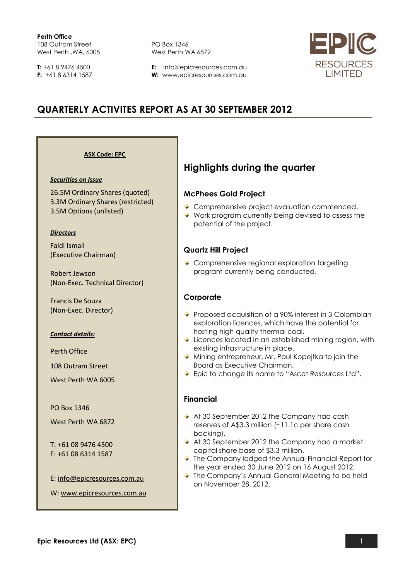**T:** +61 8 9476 4500 **F:** +61 8 6314 1587 PO Box 1346 West Perth WA 6872

**E:** info@epicresources.com.au **W:** www.epicresources.com.au



# **QUARTERLY ACTIVITES REPORT AS AT 30 SEPTEMBER 2012**

**ASX Code: EPC**

#### *Securities on Issue*

26.5M Ordinary Shares (quoted) 3.3M Ordinary Shares (restricted) 3.5M Options (unlisted)

#### *Directors*

Faldi Ismail (Executive Chairman)

Robert Jewson (Non-Exec. Technical Director)

Francis De Souza (Non-Exec. Director)

#### *Contact details:*

Perth Office

108 Outram Street

West Perth WA 6005

PO Box 1346

West Perth WA 6872

T: +61 08 9476 4500 F: +61 08 6314 1587

E: [info@epicresources.com.au](mailto:info@epicresources.com.au)

W: [www.epicresources.com.au](http://www.epicresources.com.au/)

# **Highlights during the quarter**

### **McPhees Gold Project**

- ◆ Comprehensive project evaluation commenced.
- ◆ Work program currently being devised to assess the potential of the project.

## **Quartz Hill Project**

◆ Comprehensive regional exploration targeting program currently being conducted.

### **Corporate**

- ◆ Proposed acquisition of a 90% interest in 3 Colombian exploration licences, which have the potential for hosting high quality thermal coal.
- $\overline{\phantom{a}}$  Licences located in an established mining region, with existing infrastructure in place.
- Mining entrepreneur, Mr. Paul Kopejtka to join the Board as Executive Chairman.
- ◆ Epic to change its name to "Ascot Resources Ltd".

### **Financial**

- At 30 September 2012 the Company had cash reserves of A\$3.3 million (~11.1c per share cash backing).
- ◆ At 30 September 2012 the Company had a market capital share base of \$3.3 million.
- ◆ The Company lodged the Annual Financial Report for the year ended 30 June 2012 on 16 August 2012.
- ◆ The Company's Annual General Meeting to be held on November 28, 2012.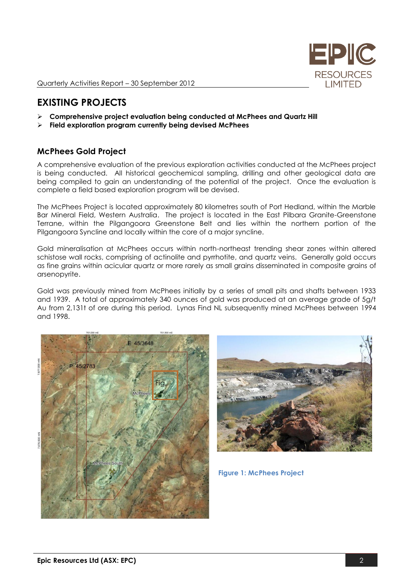

Quarterly Activities Report – 30 September 2012

# **EXISTING PROJECTS**

- **Comprehensive project evaluation being conducted at McPhees and Quartz Hill**
- **Field exploration program currently being devised McPhees**

## **McPhees Gold Project**

A comprehensive evaluation of the previous exploration activities conducted at the McPhees project is being conducted. All historical geochemical sampling, drilling and other geological data are being compiled to gain an understanding of the potential of the project. Once the evaluation is complete a field based exploration program will be devised.

The McPhees Project is located approximately 80 kilometres south of Port Hedland, within the Marble Bar Mineral Field, Western Australia. The project is located in the East Pilbara Granite-Greenstone Terrane, within the Pilgangoora Greenstone Belt and lies within the northern portion of the Pilgangoora Syncline and locally within the core of a major syncline.

Gold mineralisation at McPhees occurs within north-northeast trending shear zones within altered schistose wall rocks, comprising of actinolite and pyrrhotite, and quartz veins. Generally gold occurs as fine grains within acicular quartz or more rarely as small grains disseminated in composite grains of arsenopyrite.

Gold was previously mined from McPhees initially by a series of small pits and shafts between 1933 and 1939. A total of approximately 340 ounces of gold was produced at an average grade of 5g/t Au from 2,131t of ore during this period. Lynas Find NL subsequently mined McPhees between 1994 and 1998.





**Figure 1: McPhees Project**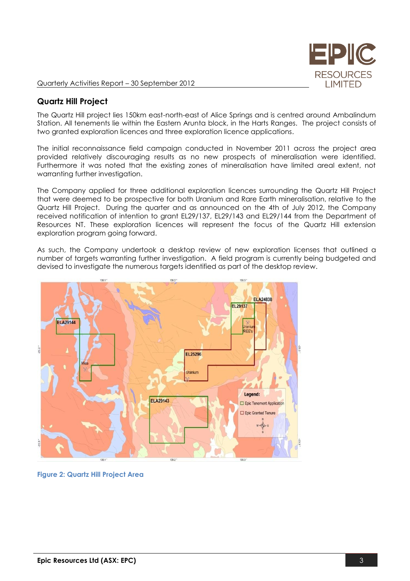

### **Quartz Hill Project**

The Quartz Hill project lies 150km east-north-east of Alice Springs and is centred around Ambalindum Station. All tenements lie within the Eastern Arunta block, in the Harts Ranges. The project consists of two granted exploration licences and three exploration licence applications.

The initial reconnaissance field campaign conducted in November 2011 across the project area provided relatively discouraging results as no new prospects of mineralisation were identified. Furthermore it was noted that the existing zones of mineralisation have limited areal extent, not warranting further investigation.

The Company applied for three additional exploration licences surrounding the Quartz Hill Project that were deemed to be prospective for both Uranium and Rare Earth mineralisation, relative to the Quartz Hill Project. During the quarter and as announced on the 4th of July 2012, the Company received notification of intention to grant EL29/137, EL29/143 and EL29/144 from the Department of Resources NT. These exploration licences will represent the focus of the Quartz Hill extension exploration program going forward.

As such, the Company undertook a desktop review of new exploration licenses that outlined a number of targets warranting further investigation. A field program is currently being budgeted and devised to investigate the numerous targets identified as part of the desktop review.



**Figure 2: Quartz Hill Project Area**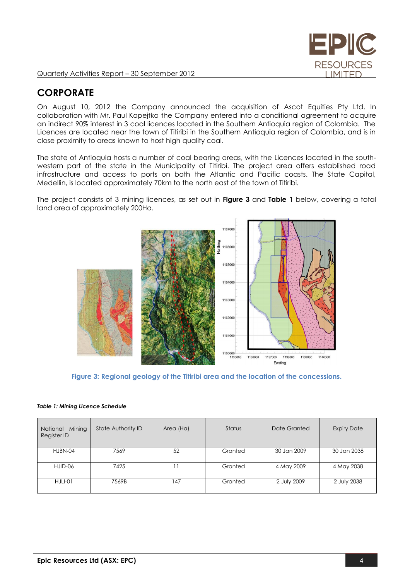

# **CORPORATE**

On August 10, 2012 the Company announced the acquisition of Ascot Equities Pty Ltd. In collaboration with Mr. Paul Kopejtka the Company entered into a conditional agreement to acquire an indirect 90% interest in 3 coal licences located in the Southern Antioquia region of Colombia. The Licences are located near the town of Titiribi in the Southern Antioquia region of Colombia, and is in close proximity to areas known to host high quality coal.

The state of Antioquia hosts a number of coal bearing areas, with the Licences located in the southwestern part of the state in the Municipality of Titiribi. The project area offers established road infrastructure and access to ports on both the Atlantic and Pacific coasts. The State Capital, Medellin, is located approximately 70km to the north east of the town of Titiribì.

The project consists of 3 mining licences, as set out in **Figure 3** and **Table 1** below, covering a total land area of approximately 200Ha.



**Figure 3: Regional geology of the Titiribi area and the location of the concessions.**

|  | Table 1: Mining Licence Schedule |
|--|----------------------------------|
|  |                                  |

| Mining<br>National<br>Register ID | State Authority ID | Area (Ha) | Status  | Date Granted | <b>Expiry Date</b> |
|-----------------------------------|--------------------|-----------|---------|--------------|--------------------|
| HJBN-04                           | 7569               | 52        | Granted | 30 Jan 2009  | 30 Jan 2038        |
| HJID-06                           | 7425               |           | Granted | 4 May 2009   | 4 May 2038         |
| HJLI-01                           | 7569B              | 147       | Granted | 2 July 2009  | 2 July 2038        |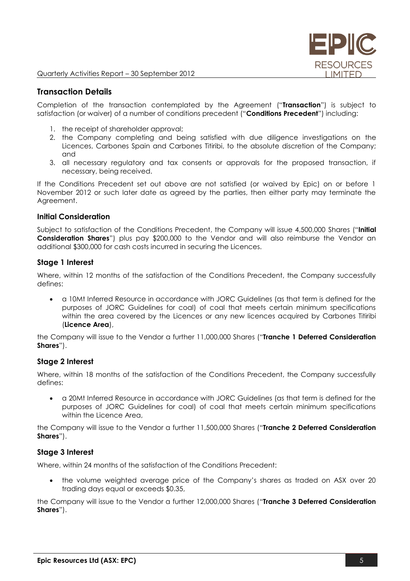

### **Transaction Details**

Completion of the transaction contemplated by the Agreement ("**Transaction**") is subject to satisfaction (or waiver) of a number of conditions precedent ("**Conditions Precedent**") including:

- 1. the receipt of shareholder approval;
- 2. the Company completing and being satisfied with due diligence investigations on the Licences, Carbones Spain and Carbones Titiribi, to the absolute discretion of the Company; and
- 3. all necessary regulatory and tax consents or approvals for the proposed transaction, if necessary, being received.

If the Conditions Precedent set out above are not satisfied (or waived by Epic) on or before 1 November 2012 or such later date as agreed by the parties, then either party may terminate the Agreement.

### **Initial Consideration**

Subject to satisfaction of the Conditions Precedent, the Company will issue 4,500,000 Shares ("**Initial Consideration Shares**") plus pay \$200,000 to the Vendor and will also reimburse the Vendor an additional \$300,000 for cash costs incurred in securing the Licences.

### **Stage 1 Interest**

Where, within 12 months of the satisfaction of the Conditions Precedent, the Company successfully defines:

 a 10Mt Inferred Resource in accordance with JORC Guidelines (as that term is defined for the purposes of JORC Guidelines for coal) of coal that meets certain minimum specifications within the area covered by the Licences or any new licences acquired by Carbones Titiribi (**Licence Area**),

the Company will issue to the Vendor a further 11,000,000 Shares ("**Tranche 1 Deferred Consideration Shares**").

#### **Stage 2 Interest**

Where, within 18 months of the satisfaction of the Conditions Precedent, the Company successfully defines:

 a 20Mt Inferred Resource in accordance with JORC Guidelines (as that term is defined for the purposes of JORC Guidelines for coal) of coal that meets certain minimum specifications within the Licence Area.

the Company will issue to the Vendor a further 11,500,000 Shares ("**Tranche 2 Deferred Consideration Shares**").

### **Stage 3 Interest**

Where, within 24 months of the satisfaction of the Conditions Precedent:

 the volume weighted average price of the Company's shares as traded on ASX over 20 trading days equal or exceeds \$0.35,

the Company will issue to the Vendor a further 12,000,000 Shares ("**Tranche 3 Deferred Consideration Shares**").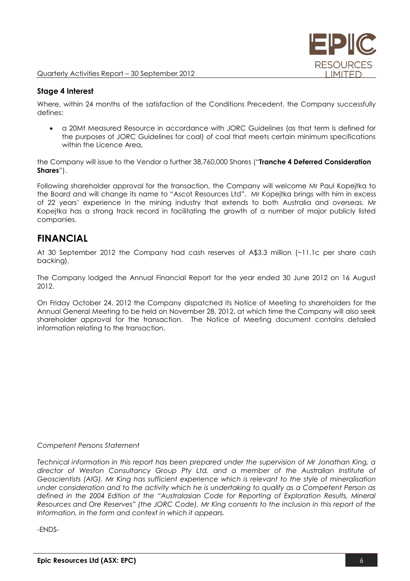

### **Stage 4 Interest**

Where, within 24 months of the satisfaction of the Conditions Precedent, the Company successfully defines:

 a 20Mt Measured Resource in accordance with JORC Guidelines (as that term is defined for the purposes of JORC Guidelines for coal) of coal that meets certain minimum specifications within the Licence Area,

the Company will issue to the Vendor a further 38,760,000 Shares ("**Tranche 4 Deferred Consideration Shares**").

Following shareholder approval for the transaction, the Company will welcome Mr Paul Kopejtka to the Board and will change its name to "Ascot Resources Ltd". Mr Kopejtka brings with him in excess of 22 years' experience in the mining industry that extends to both Australia and overseas. Mr Kopejtka has a strong track record in facilitating the growth of a number of major publicly listed companies.

# **FINANCIAL**

At 30 September 2012 the Company had cash reserves of A\$3.3 million (~11.1c per share cash backing).

The Company lodged the Annual Financial Report for the year ended 30 June 2012 on 16 August 2012.

On Friday October 24, 2012 the Company dispatched its Notice of Meeting to shareholders for the Annual General Meeting to be held on November 28, 2012, at which time the Company will also seek shareholder approval for the transaction. The Notice of Meeting document contains detailed information relating to the transaction.

#### *Competent Persons Statement*

*Technical information in this report has been prepared under the supervision of Mr Jonathan King, a director of Weston Consultancy Group Pty Ltd, and a member of the Australian Institute of Geoscientists (AIG). Mr King has sufficient experience which is relevant to the style of mineralisation under consideration and to the activity which he is undertaking to qualify as a Competent Person as defined in the 2004 Edition of the "Australasian Code for Reporting of Exploration Results, Mineral Resources and Ore Reserves" (the JORC Code). Mr King consents to the inclusion in this report of the Information, in the form and context in which it appears.*

-ENDS-